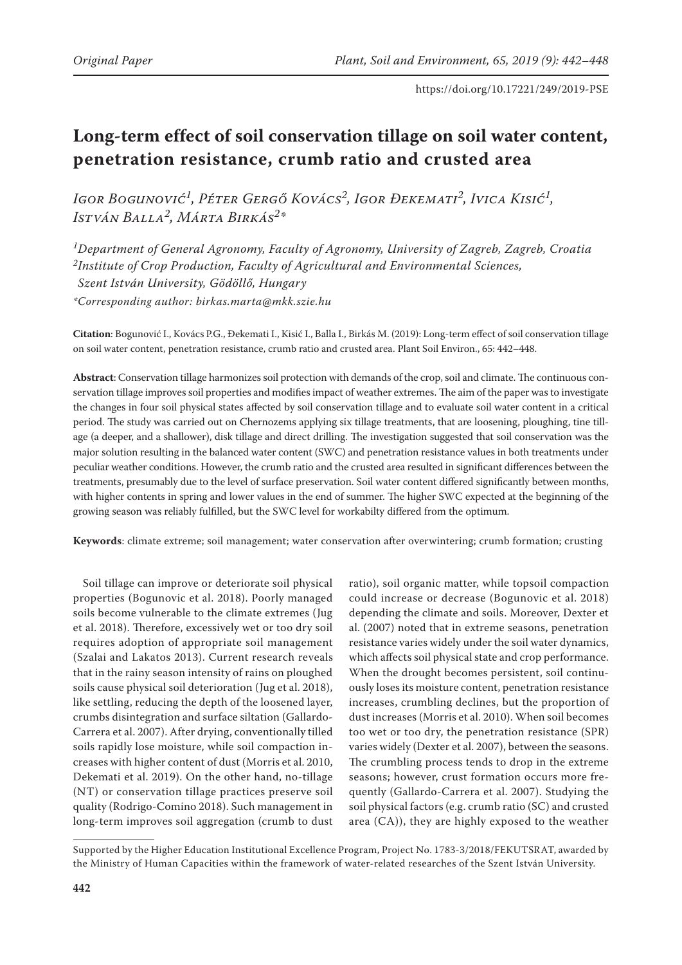# **Long-term effect of soil conservation tillage on soil water content, penetration resistance, crumb ratio and crusted area**

*Igor Bogunović1, Péter Gergő Kovács2, Igor Ðekemati2, Ivica Kisić1, István Balla2, Márta Birkás2\**

*1Department of General Agronomy, Faculty of Agronomy, University of Zagreb, Zagreb, Croatia 2Institute of Crop Production, Faculty of Agricultural and Environmental Sciences, Szent István University, Gödöllő, Hungary \*Corresponding author: birkas.marta@mkk.szie.hu*

**Citation**: Bogunović I., Kovács P.G., Ðekemati I., Kisić I., Balla I., Birkás M. (2019): Long-term effect of soil conservation tillage on soil water content, penetration resistance, crumb ratio and crusted area. Plant Soil Environ., 65: 442–448.

**Abstract**: Conservation tillage harmonizes soil protection with demands of the crop, soil and climate. The continuous conservation tillage improves soil properties and modifies impact of weather extremes. The aim of the paper was to investigate the changes in four soil physical states affected by soil conservation tillage and to evaluate soil water content in a critical period. The study was carried out on Chernozems applying six tillage treatments, that are loosening, ploughing, tine tillage (a deeper, and a shallower), disk tillage and direct drilling. The investigation suggested that soil conservation was the major solution resulting in the balanced water content (SWC) and penetration resistance values in both treatments under peculiar weather conditions. However, the crumb ratio and the crusted area resulted in significant differences between the treatments, presumably due to the level of surface preservation. Soil water content differed significantly between months, with higher contents in spring and lower values in the end of summer. The higher SWC expected at the beginning of the growing season was reliably fulfilled, but the SWC level for workabilty differed from the optimum.

**Keywords**: climate extreme; soil management; water conservation after overwintering; crumb formation; crusting

Soil tillage can improve or deteriorate soil physical properties (Bogunovic et al. 2018). Poorly managed soils become vulnerable to the climate extremes (Jug et al. 2018). Therefore, excessively wet or too dry soil requires adoption of appropriate soil management (Szalai and Lakatos 2013). Current research reveals that in the rainy season intensity of rains on ploughed soils cause physical soil deterioration (Jug et al. 2018), like settling, reducing the depth of the loosened layer, crumbs disintegration and surface siltation (Gallardo-Carrera et al. 2007). After drying, conventionally tilled soils rapidly lose moisture, while soil compaction increases with higher content of dust (Morris et al. 2010, Dekemati et al. 2019). On the other hand, no-tillage (NT) or conservation tillage practices preserve soil quality (Rodrigo-Comino 2018). Such management in long-term improves soil aggregation (crumb to dust

ratio), soil organic matter, while topsoil compaction could increase or decrease (Bogunovic et al. 2018) depending the climate and soils. Moreover, Dexter et al. (2007) noted that in extreme seasons, penetration resistance varies widely under the soil water dynamics, which affects soil physical state and crop performance. When the drought becomes persistent, soil continuously loses its moisture content, penetration resistance increases, crumbling declines, but the proportion of dust increases (Morris et al. 2010). When soil becomes too wet or too dry, the penetration resistance (SPR) varies widely (Dexter et al. 2007), between the seasons. The crumbling process tends to drop in the extreme seasons; however, crust formation occurs more frequently (Gallardo-Carrera et al. 2007). Studying the soil physical factors (e.g. crumb ratio (SC) and crusted area (CA)), they are highly exposed to the weather

Supported by the Higher Education Institutional Excellence Program, Project No. 1783-3/2018/FEKUTSRAT, awarded by the Ministry of Human Capacities within the framework of water-related researches of the Szent István University.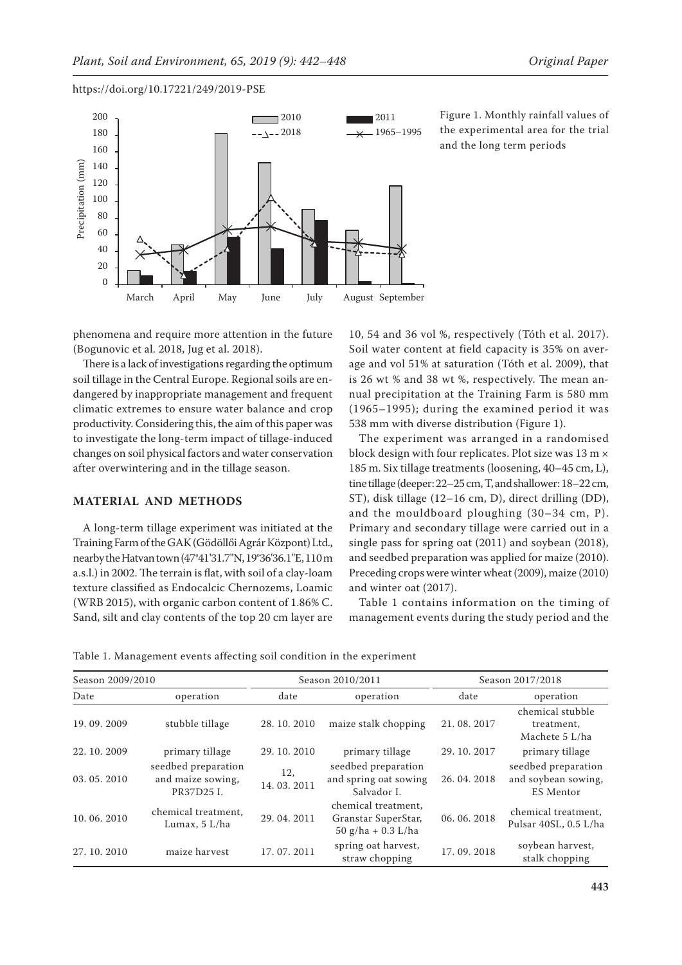

Figure 1. Monthly rainfall values of the experimental area for the trial and the long term periods

phenomena and require more attention in the future (Bogunovic et al. 2018, Jug et al. 2018).

There is a lack of investigations regarding the optimum soil tillage in the Central Europe. Regional soils are endangered by inappropriate management and frequent climatic extremes to ensure water balance and crop productivity. Considering this, the aim of this paper was to investigate the long-term impact of tillage-induced changes on soil physical factors and water conservation after overwintering and in the tillage season.

# **MATERIAL AND METHODS**

A long-term tillage experiment was initiated at the Training Farm of the GAK (Gödöllői Agrár Központ) Ltd., nearby the Hatvan town (47°41'31.7''N, 19°36'36.1''E, 110 m a.s.l.) in 2002. The terrain is flat, with soil of a clay-loam texture classified as Endocalcic Chernozems, Loamic (WRB 2015), with organic carbon content of 1.86% C. Sand, silt and clay contents of the top 20 cm layer are

10, 54 and 36 vol %, respectively (Tóth et al. 2017). Soil water content at field capacity is 35% on average and vol 51% at saturation (Tóth et al. 2009), that is 26 wt % and 38 wt %, respectively. The mean annual precipitation at the Training Farm is 580 mm (1965–1995); during the examined period it was 538 mm with diverse distribution (Figure 1).

The experiment was arranged in a randomised block design with four replicates. Plot size was 13 m × 185 m. Six tillage treatments (loosening, 40–45 cm, L), tine tillage (deeper: 22–25 cm, T, and shallower: 18–22 cm, ST), disk tillage (12–16 cm, D), direct drilling (DD), and the mouldboard ploughing (30–34 cm, P). Primary and secondary tillage were carried out in a single pass for spring oat (2011) and soybean (2018), and seedbed preparation was applied for maize (2010). Preceding crops were winter wheat (2009), maize (2010) and winter oat (2017).

Table 1 contains information on the timing of management events during the study period and the

|  |  | Table 1. Management events affecting soil condition in the experiment |  |  |  |  |  |  |  |  |
|--|--|-----------------------------------------------------------------------|--|--|--|--|--|--|--|--|
|--|--|-----------------------------------------------------------------------|--|--|--|--|--|--|--|--|

| Season 2009/2010  |                                                        |                   | Season 2010/2011                                                   | Season 2017/2018 |                                                                |  |
|-------------------|--------------------------------------------------------|-------------------|--------------------------------------------------------------------|------------------|----------------------------------------------------------------|--|
| Date<br>operation |                                                        | date              | operation                                                          | date             | operation                                                      |  |
| 19.09.2009        | stubble tillage                                        | 28.10.2010        | maize stalk chopping                                               | 21.08.2017       | chemical stubble<br>treatment,<br>Machete 5 L/ha               |  |
| 22.10.2009        | primary tillage                                        | 29.10.2010        | primary tillage                                                    | 29.10.2017       | primary tillage                                                |  |
| 03.05.2010        | seedbed preparation<br>and maize sowing,<br>PR37D25 I. | 12,<br>14.03.2011 | seedbed preparation<br>and spring oat sowing<br>Salvador I.        | 26.04.2018       | seedbed preparation<br>and soybean sowing,<br><b>ES</b> Mentor |  |
| 10.06.2010        | chemical treatment.<br>Lumax, 5 L/ha                   | 29.04.2011        | chemical treatment,<br>Granstar SuperStar,<br>$50$ g/ha + 0.3 L/ha | 06.06.2018       | chemical treatment.<br>Pulsar 40SL, 0.5 L/ha                   |  |
| 27, 10, 2010      | maize harvest                                          | 17.07.2011        | spring oat harvest,<br>straw chopping                              | 17.09.2018       | soybean harvest,<br>stalk chopping                             |  |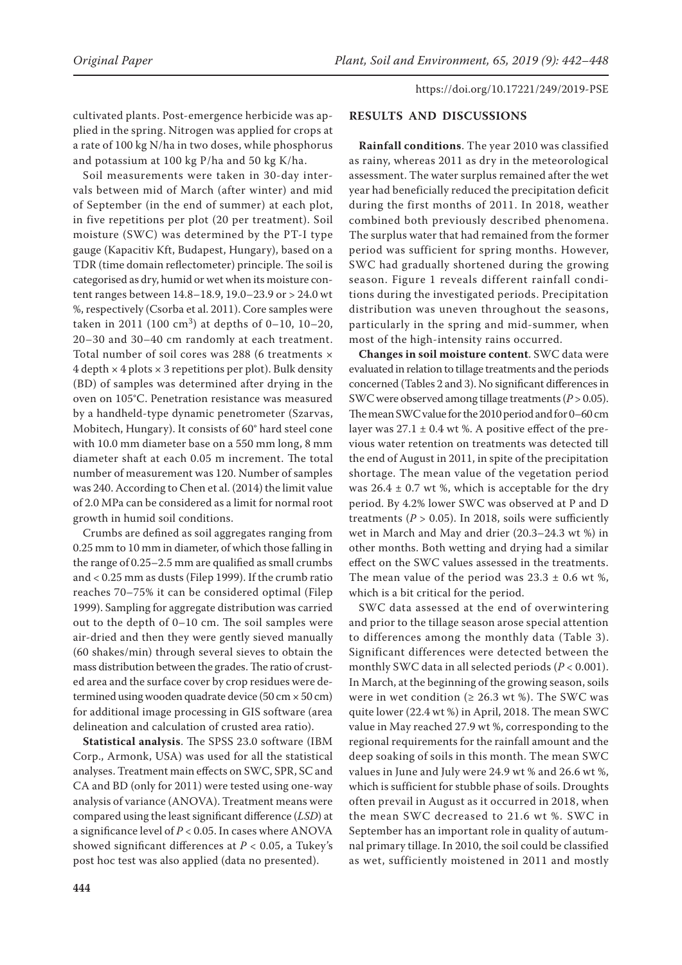cultivated plants. Post-emergence herbicide was applied in the spring. Nitrogen was applied for crops at a rate of 100 kg N/ha in two doses, while phosphorus and potassium at 100 kg P/ha and 50 kg K/ha.

Soil measurements were taken in 30-day intervals between mid of March (after winter) and mid of September (in the end of summer) at each plot, in five repetitions per plot (20 per treatment). Soil moisture (SWC) was determined by the PT-I type gauge (Kapacitiv Kft, Budapest, Hungary), based on a TDR (time domain reflectometer) principle. The soil is categorised as dry, humid or wet when its moisture content ranges between 14.8–18.9, 19.0–23.9 or > 24.0 wt %, respectively (Csorba et al. 2011). Core samples were taken in 2011 (100 cm<sup>3</sup>) at depths of 0–10, 10–20, 20–30 and 30–40 cm randomly at each treatment. Total number of soil cores was 288 (6 treatments ×  $4$  depth  $\times$  4 plots  $\times$  3 repetitions per plot). Bulk density (BD) of samples was determined after drying in the oven on 105°C. Penetration resistance was measured by a handheld-type dynamic penetrometer (Szarvas, Mobitech, Hungary). It consists of 60° hard steel cone with 10.0 mm diameter base on a 550 mm long, 8 mm diameter shaft at each 0.05 m increment. The total number of measurement was 120. Number of samples was 240. According to Chen et al. (2014) the limit value of 2.0 MPa can be considered as a limit for normal root growth in humid soil conditions.

Crumbs are defined as soil aggregates ranging from 0.25 mm to 10 mm in diameter, of which those falling in the range of 0.25–2.5 mm are qualified as small crumbs and < 0.25 mm as dusts (Filep 1999). If the crumb ratio reaches 70–75% it can be considered optimal (Filep 1999). Sampling for aggregate distribution was carried out to the depth of 0–10 cm. The soil samples were air-dried and then they were gently sieved manually (60 shakes/min) through several sieves to obtain the mass distribution between the grades. The ratio of crusted area and the surface cover by crop residues were determined using wooden quadrate device (50 cm  $\times$  50 cm) for additional image processing in GIS software (area delineation and calculation of crusted area ratio).

**Statistical analysis**. The SPSS 23.0 software (IBM Corp., Armonk, USA) was used for all the statistical analyses. Treatment main effects on SWC, SPR, SC and CA and BD (only for 2011) were tested using one-way analysis of variance (ANOVA). Treatment means were compared using the least significant difference (*LSD*) at a significance level of *P* < 0.05. In cases where ANOVA showed significant differences at *P* < 0.05, a Tukey's post hoc test was also applied (data no presented).

# **RESULTS AND DISCUSSIONS**

**Rainfall conditions**. The year 2010 was classified as rainy, whereas 2011 as dry in the meteorological assessment. The water surplus remained after the wet year had beneficially reduced the precipitation deficit during the first months of 2011. In 2018, weather combined both previously described phenomena. The surplus water that had remained from the former period was sufficient for spring months. However, SWC had gradually shortened during the growing season. Figure 1 reveals different rainfall conditions during the investigated periods. Precipitation distribution was uneven throughout the seasons, particularly in the spring and mid-summer, when most of the high-intensity rains occurred.

**Changes in soil moisture content**. SWC data were evaluated in relation to tillage treatments and the periods concerned (Tables 2 and 3). No significant differences in SWC were observed among tillage treatments (*P* > 0.05). The mean SWC value for the 2010 period and for 0–60 cm layer was  $27.1 \pm 0.4$  wt %. A positive effect of the previous water retention on treatments was detected till the end of August in 2011, in spite of the precipitation shortage. The mean value of the vegetation period was  $26.4 \pm 0.7$  wt %, which is acceptable for the dry period. By 4.2% lower SWC was observed at P and D treatments ( $P > 0.05$ ). In 2018, soils were sufficiently wet in March and May and drier (20.3–24.3 wt %) in other months. Both wetting and drying had a similar effect on the SWC values assessed in the treatments. The mean value of the period was  $23.3 \pm 0.6$  wt %, which is a bit critical for the period.

SWC data assessed at the end of overwintering and prior to the tillage season arose special attention to differences among the monthly data (Table 3). Significant differences were detected between the monthly SWC data in all selected periods (*P* < 0.001). In March, at the beginning of the growing season, soils were in wet condition ( $\geq 26.3$  wt %). The SWC was quite lower (22.4 wt %) in April, 2018. The mean SWC value in May reached 27.9 wt %, corresponding to the regional requirements for the rainfall amount and the deep soaking of soils in this month. The mean SWC values in June and July were 24.9 wt % and 26.6 wt %, which is sufficient for stubble phase of soils. Droughts often prevail in August as it occurred in 2018, when the mean SWC decreased to 21.6 wt %. SWC in September has an important role in quality of autumnal primary tillage. In 2010, the soil could be classified as wet, sufficiently moistened in 2011 and mostly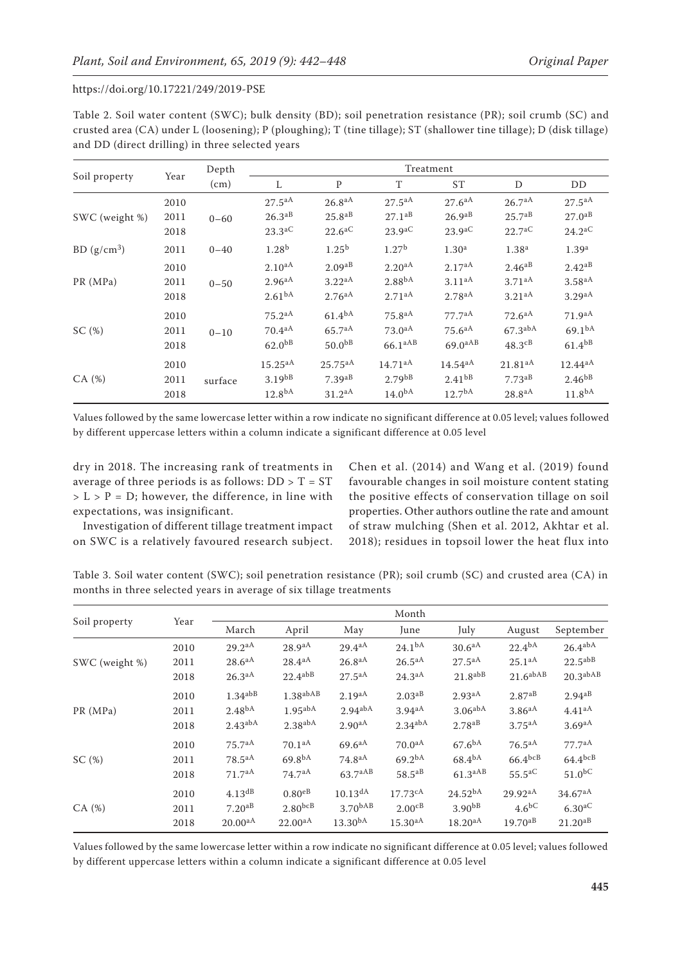Table 2. Soil water content (SWC); bulk density (BD); soil penetration resistance (PR); soil crumb (SC) and crusted area (CA) under L (loosening); P (ploughing); T (tine tillage); ST (shallower tine tillage); D (disk tillage) and DD (direct drilling) in three selected years

|                         | Year | Depth    | Treatment            |                      |                     |                      |                       |                      |  |
|-------------------------|------|----------|----------------------|----------------------|---------------------|----------------------|-----------------------|----------------------|--|
| Soil property           |      | (cm)     | L                    | P                    | T                   | ST                   | D                     | DD                   |  |
|                         | 2010 |          | $27.5^{aA}$          | $26.8^{aA}$          | $27.5^{aA}$         | 27.6aA               | 26.7aA                | $27.5^{aA}$          |  |
| SWC (weight %)          | 2011 | $0 - 60$ | $26.3^{aB}$          | $25.8^{aB}$          | $27.1^{aB}$         | $26.9^{aB}$          | 25.7 <sup>ab</sup>    | $27.0^{aB}$          |  |
|                         | 2018 |          | $23.3$ <sup>aC</sup> | $22.6^{\mathrm{aC}}$ | 23.9 <sup>aC</sup>  | $23.9$ <sup>aC</sup> | 22.7 <sup>aC</sup>    | $24.2$ <sup>aC</sup> |  |
| BD (g/cm <sup>3</sup> ) | 2011 | $0 - 40$ | 1.28 <sup>b</sup>    | $1.25^{b}$           | 1.27 <sup>b</sup>   | 1.30 <sup>a</sup>    | 1.38 <sup>a</sup>     | 1.39 <sup>a</sup>    |  |
|                         | 2010 | $0 - 50$ | $2.10^{aA}$          | 2.09aB               | $2.20^{aA}$         | 2.17aA               | $2.46^{aB}$           | $2.42^{aB}$          |  |
| PR (MPa)                | 2011 |          | $2.96^{aA}$          | 3.22 <sup>aA</sup>   | 2.88 <sup>bA</sup>  | 3.11aA               | 3.71aA                | 3.58 <sup>aA</sup>   |  |
|                         | 2018 |          | 2.61 <sup>bA</sup>   | $2.76^{aA}$          | $2.71^{aA}$         | $2.78$ <sup>aA</sup> | 3.21aA                | $3.29$ <sup>aA</sup> |  |
|                         | 2010 | $0 - 10$ | $75.2^{aA}$          | 61.4 <sup>bA</sup>   | 75.8 <sup>aA</sup>  | 77.7 <sup>aa</sup>   | $72.6^{aA}$           | 71.9 <sup>aA</sup>   |  |
| SC(%)                   | 2011 |          | $70.4^{aA}$          | $65.7^{aA}$          | $73.0^{aA}$         | $75.6^{aA}$          | $67.3$ <sup>abA</sup> | 69.1 <sup>bA</sup>   |  |
|                         | 2018 |          | 62.0 <sup>bbB</sup>  | 50.0 <sup>bB</sup>   | 66.1 <sup>aAB</sup> | $69.0^{aAB}$         | $48.3\text{dB}$       | $61.4^{bB}$          |  |
|                         | 2010 | surface  | $15.25^{aA}$         | $25.75^{aA}$         | 14.71aA             | $14.54^{aA}$         | 21.81aA               | $12.44^{aA}$         |  |
| CA(%)                   | 2011 |          | $3.19^{b}$           | $7.39$ <sup>aB</sup> | 2.79 <sup>bB</sup>  | $2.41^{bB}$          | $7.73$ <sup>aB</sup>  | $2.46^{b}$           |  |
|                         | 2018 |          | 12.8 <sup>bA</sup>   | 31.2 <sup>aA</sup>   | 14.0 <sup>bA</sup>  | 12.7 <sup>bA</sup>   | 28.8aA                | 11.8 <sup>bA</sup>   |  |

Values followed by the same lowercase letter within a row indicate no significant difference at 0.05 level; values followed by different uppercase letters within a column indicate a significant difference at 0.05 level

dry in 2018. The increasing rank of treatments in average of three periods is as follows:  $DD > T = ST$  $> L > P = D$ ; however, the difference, in line with expectations, was insignificant.

Investigation of different tillage treatment impact on SWC is a relatively favoured research subject.

Chen et al. (2014) and Wang et al. (2019) found favourable changes in soil moisture content stating the positive effects of conservation tillage on soil properties. Other authors outline the rate and amount of straw mulching (Shen et al. 2012, Akhtar et al. 2018); residues in topsoil lower the heat flux into

Table 3. Soil water content (SWC); soil penetration resistance (PR); soil crumb (SC) and crusted area (CA) in months in three selected years in average of six tillage treatments

|                |      | Month                 |                       |                       |                       |                      |                      |                       |
|----------------|------|-----------------------|-----------------------|-----------------------|-----------------------|----------------------|----------------------|-----------------------|
| Soil property  | Year | March                 | April                 | May                   | June                  | July                 | August               | September             |
|                | 2010 | 29.2 <sup>aA</sup>    | 28.9 <sup>aA</sup>    | 29.4aA                | 24.1 <sup>bA</sup>    | 30.6 <sup>aA</sup>   | 22.4 <sup>bA</sup>   | $26.4^{abA}$          |
| SWC (weight %) | 2011 | 28.6 <sup>aA</sup>    | $28.4^{aA}$           | $26.8^{aA}$           | $26.5^{aA}$           | 27.5aA               | $25.1^{aA}$          | $22.5^{abB}$          |
|                | 2018 | 26.3 <sup>aA</sup>    | $22.4^{abB}$          | $27.5^{aA}$           | $24.3^{aA}$           | $21.8^{abB}$         | $21.6$ abAB          | 20.3 <sup>abAB</sup>  |
|                | 2010 | $1.34$ <sup>abB</sup> | 1.38a <sub>bAB</sub>  | 2.19aA                | 2.03 <sup>aB</sup>    | 2.93 <sup>aA</sup>   | $2.87^{aB}$          | $2.94^{aB}$           |
| PR (MPa)       | 2011 | 2.48 <sup>bA</sup>    | $1.95$ abA            | $2.94$ <sup>abA</sup> | $3.94$ <sup>aA</sup>  | $3.06$ abA           | $3.86$ <sup>aA</sup> | 4.41aA                |
|                | 2018 | $2.43$ <sup>abA</sup> | $2.38$ abA            | 2.90 <sup>aA</sup>    | $2.34$ <sup>abA</sup> | $2.78$ <sup>aB</sup> | $3.75$ <sup>aA</sup> | $3.69$ <sup>aA</sup>  |
|                | 2010 | 75.7 <sup>aA</sup>    | 70.1aA                | 69.6aA                | 70.0 <sup>aA</sup>    | 67.6 <sup>bA</sup>   | $76.5^{aA}$          | 77.7 <sup>aa</sup>    |
| SC(%)          | 2011 | $78.5^{aA}$           | 69.8 <sup>bA</sup>    | $74.8^{aA}$           | $69.2^{bA}$           | $68.4^{bA}$          | $66.4^{bcB}$         | $64.4$ <sub>bcB</sub> |
|                | 2018 | 71.7 <sup>aA</sup>    | 74.7 <sup>aA</sup>    | 63.7aAB               | $58.5^{aB}$           | 61.3 <sup>aAB</sup>  | $55.5^{\mathrm{aC}}$ | $51.0^{bC}$           |
|                | 2010 | $4.13$ <sup>dB</sup>  | $0.80e$ <sup>B</sup>  | $10.13$ <sup>dA</sup> | 17.73cA               | 24.52 <sup>bA</sup>  | 29.92 <sup>aA</sup>  | $34.67$ <sup>aA</sup> |
| CA(%)          | 2011 | $7.20$ <sup>aB</sup>  | $2.80$ <sub>bcB</sub> | 3.70 <sup>bAB</sup>   | $2.00$ <sup>cB</sup>  | 3.90 <sup>bB</sup>   | $4.6\text{bC}$       | $6.30$ <sup>aC</sup>  |
|                | 2018 | 20.00 <sup>aA</sup>   | $22.00^{aA}$          | $13.30^{bA}$          | $15.30$ aA            | $18.20^{aA}$         | $19.70^{aB}$         | $21.20^{aB}$          |

Values followed by the same lowercase letter within a row indicate no significant difference at 0.05 level; values followed by different uppercase letters within a column indicate a significant difference at 0.05 level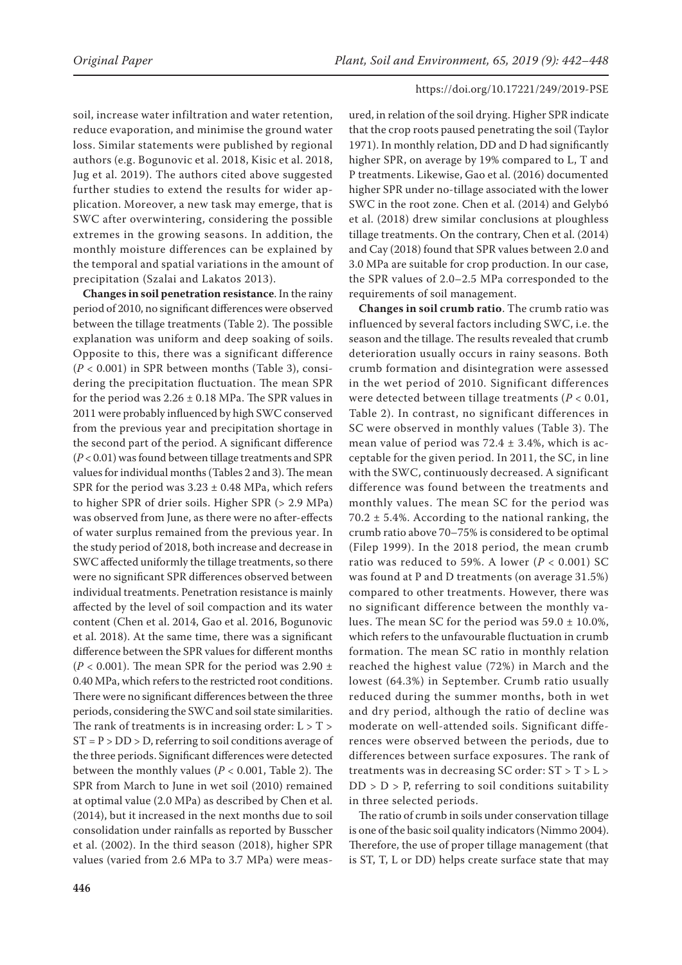soil, increase water infiltration and water retention, reduce evaporation, and minimise the ground water loss. Similar statements were published by regional authors (e.g. Bogunovic et al. 2018, Kisic et al. 2018, Jug et al. 2019). The authors cited above suggested further studies to extend the results for wider application. Moreover, a new task may emerge, that is SWC after overwintering, considering the possible extremes in the growing seasons. In addition, the monthly moisture differences can be explained by the temporal and spatial variations in the amount of precipitation (Szalai and Lakatos 2013).

**Changes in soil penetration resistance**. In the rainy period of 2010, no significant differences were observed between the tillage treatments (Table 2). The possible explanation was uniform and deep soaking of soils. Opposite to this, there was a significant difference (*P* < 0.001) in SPR between months (Table 3), considering the precipitation fluctuation. The mean SPR for the period was  $2.26 \pm 0.18$  MPa. The SPR values in 2011 were probably influenced by high SWC conserved from the previous year and precipitation shortage in the second part of the period. A significant difference (*P* < 0.01) was found between tillage treatments and SPR values for individual months (Tables 2 and 3). The mean SPR for the period was  $3.23 \pm 0.48$  MPa, which refers to higher SPR of drier soils. Higher SPR (> 2.9 MPa) was observed from June, as there were no after-effects of water surplus remained from the previous year. In the study period of 2018, both increase and decrease in SWC affected uniformly the tillage treatments, so there were no significant SPR differences observed between individual treatments. Penetration resistance is mainly affected by the level of soil compaction and its water content (Chen et al. 2014, Gao et al. 2016, Bogunovic et al. 2018). At the same time, there was a significant difference between the SPR values for different months ( $P$  < 0.001). The mean SPR for the period was 2.90  $\pm$ 0.40 MPa, which refers to the restricted root conditions. There were no significant differences between the three periods, considering the SWC and soil state similarities. The rank of treatments is in increasing order:  $L > T >$  $ST = P > DD > D$ , referring to soil conditions average of the three periods. Significant differences were detected between the monthly values (*P* < 0.001, Table 2). The SPR from March to June in wet soil (2010) remained at optimal value (2.0 MPa) as described by Chen et al. (2014), but it increased in the next months due to soil consolidation under rainfalls as reported by Busscher et al. (2002). In the third season (2018), higher SPR values (varied from 2.6 MPa to 3.7 MPa) were meas-

ured, in relation of the soil drying. Higher SPR indicate that the crop roots paused penetrating the soil (Taylor 1971). In monthly relation, DD and D had significantly higher SPR, on average by 19% compared to L, T and P treatments. Likewise, Gao et al. (2016) documented higher SPR under no-tillage associated with the lower SWC in the root zone. Chen et al. (2014) and Gelybó et al. (2018) drew similar conclusions at ploughless tillage treatments. On the contrary, Chen et al. (2014) and Cay (2018) found that SPR values between 2.0 and 3.0 MPa are suitable for crop production. In our case, the SPR values of 2.0–2.5 MPa corresponded to the requirements of soil management.

**Changes in soil crumb ratio**. The crumb ratio was influenced by several factors including SWC, i.e. the season and the tillage. The results revealed that crumb deterioration usually occurs in rainy seasons. Both crumb formation and disintegration were assessed in the wet period of 2010. Significant differences were detected between tillage treatments (*P* < 0.01, Table 2). In contrast, no significant differences in SC were observed in monthly values (Table 3). The mean value of period was  $72.4 \pm 3.4$ %, which is acceptable for the given period. In 2011, the SC, in line with the SWC, continuously decreased. A significant difference was found between the treatments and monthly values. The mean SC for the period was 70.2  $\pm$  5.4%. According to the national ranking, the crumb ratio above 70–75% is considered to be optimal (Filep 1999). In the 2018 period, the mean crumb ratio was reduced to 59%. A lower  $(P < 0.001)$  SC was found at P and D treatments (on average 31.5%) compared to other treatments. However, there was no significant difference between the monthly values. The mean SC for the period was  $59.0 \pm 10.0\%$ , which refers to the unfavourable fluctuation in crumb formation. The mean SC ratio in monthly relation reached the highest value (72%) in March and the lowest (64.3%) in September. Crumb ratio usually reduced during the summer months, both in wet and dry period, although the ratio of decline was moderate on well-attended soils. Significant differences were observed between the periods, due to differences between surface exposures. The rank of treatments was in decreasing SC order: ST > T > L >  $DD > D > P$ , referring to soil conditions suitability in three selected periods.

The ratio of crumb in soils under conservation tillage is one of the basic soil quality indicators (Nimmo 2004). Therefore, the use of proper tillage management (that is ST, T, L or DD) helps create surface state that may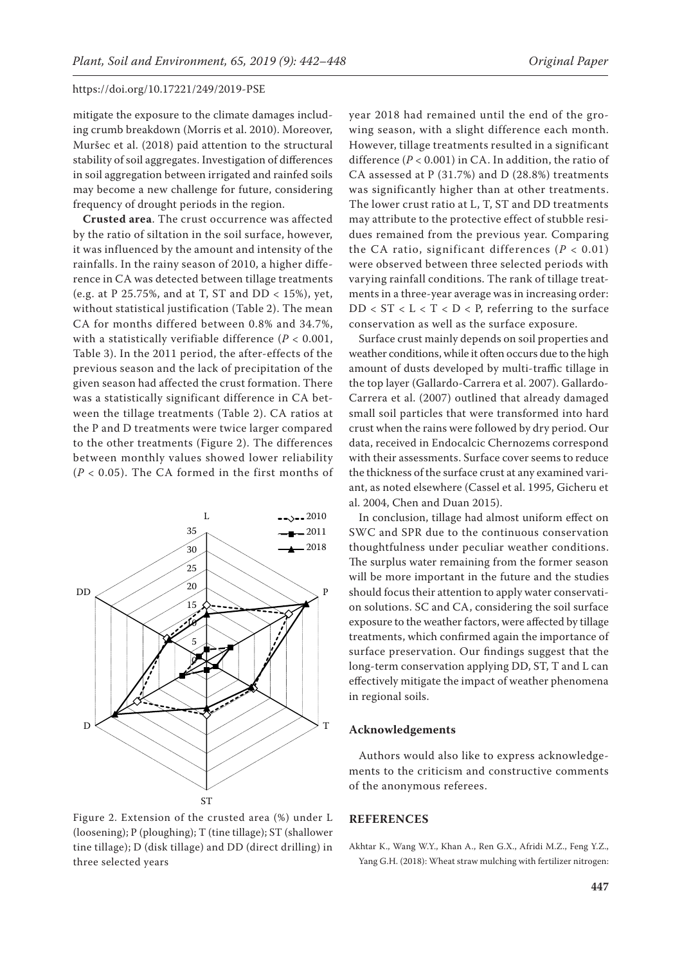mitigate the exposure to the climate damages including crumb breakdown (Morris et al. 2010). Moreover, Muršec et al. (2018) paid attention to the structural stability of soil aggregates. Investigation of differences in soil aggregation between irrigated and rainfed soils may become a new challenge for future, considering frequency of drought periods in the region.

**Crusted area**. The crust occurrence was affected by the ratio of siltation in the soil surface, however, it was influenced by the amount and intensity of the rainfalls. In the rainy season of 2010, a higher difference in CA was detected between tillage treatments (e.g. at P 25.75%, and at T, ST and DD < 15%), yet, without statistical justification (Table 2). The mean CA for months differed between 0.8% and 34.7%, with a statistically verifiable difference  $(P < 0.001$ , Table 3). In the 2011 period, the after-effects of the previous season and the lack of precipitation of the given season had affected the crust formation. There was a statistically significant difference in CA between the tillage treatments (Table 2). CA ratios at the P and D treatments were twice larger compared to the other treatments (Figure 2). The differences between monthly values showed lower reliability (*P* < 0.05). The CA formed in the first months of



Figure 2. Extension of the crusted area (%) under L (loosening); P (ploughing); T (tine tillage); ST (shallower tine tillage); D (disk tillage) and DD (direct drilling) in three selected years

year 2018 had remained until the end of the growing season, with a slight difference each month. However, tillage treatments resulted in a significant difference (*P* < 0.001) in CA. In addition, the ratio of CA assessed at P (31.7%) and D (28.8%) treatments was significantly higher than at other treatments. The lower crust ratio at L, T, ST and DD treatments may attribute to the protective effect of stubble residues remained from the previous year. Comparing the CA ratio, significant differences  $(P < 0.01)$ were observed between three selected periods with varying rainfall conditions. The rank of tillage treatments in a three-year average was in increasing order:  $DD < ST < L < T < D < P$ , referring to the surface conservation as well as the surface exposure.

Surface crust mainly depends on soil properties and weather conditions, while it often occurs due to the high amount of dusts developed by multi-traffic tillage in the top layer (Gallardo-Carrera et al. 2007). Gallardo-Carrera et al. (2007) outlined that already damaged small soil particles that were transformed into hard crust when the rains were followed by dry period. Our data, received in Endocalcic Chernozems correspond with their assessments. Surface cover seems to reduce the thickness of the surface crust at any examined variant, as noted elsewhere (Cassel et al. 1995, Gicheru et al. 2004, Chen and Duan 2015).

In conclusion, tillage had almost uniform effect on SWC and SPR due to the continuous conservation thoughtfulness under peculiar weather conditions. The surplus water remaining from the former season will be more important in the future and the studies should focus their attention to apply water conservation solutions. SC and CA, considering the soil surface exposure to the weather factors, were affected by tillage treatments, which confirmed again the importance of surface preservation. Our findings suggest that the long-term conservation applying DD, ST, T and L can effectively mitigate the impact of weather phenomena in regional soils.

#### **Acknowledgements**

Authors would also like to express acknowledgements to the criticism and constructive comments of the anonymous referees.

## **REFERENCES**

Akhtar K., Wang W.Y., Khan A., Ren G.X., Afridi M.Z., Feng Y.Z., Yang G.H. (2018): Wheat straw mulching with fertilizer nitrogen: